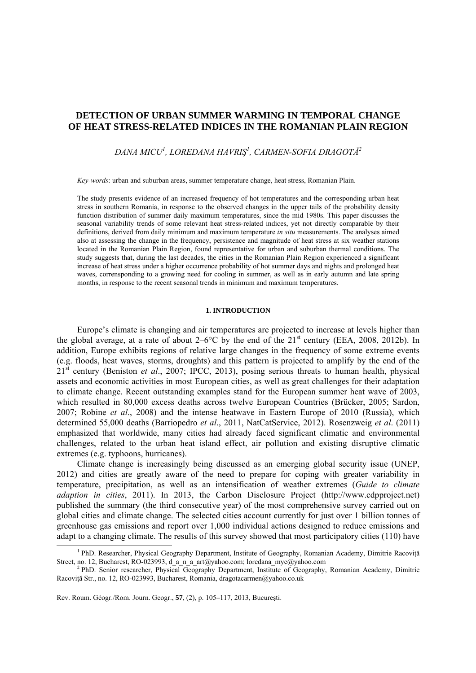# **DETECTION OF URBAN SUMMER WARMING IN TEMPORAL CHANGE OF HEAT STRESS-RELATED INDICES IN THE ROMANIAN PLAIN REGION**

*DANA MICU<sup>1</sup> , LOREDANA HAVRIŞ<sup>1</sup> , CARMEN-SOFIA DRAGOTĂ<sup>2</sup>*

*Key-words*: urban and suburban areas, summer temperature change, heat stress, Romanian Plain.

The study presents evidence of an increased frequency of hot temperatures and the corresponding urban heat stress in southern Romania, in response to the observed changes in the upper tails of the probability density function distribution of summer daily maximum temperatures, since the mid 1980s. This paper discusses the seasonal variability trends of some relevant heat stress-related indices, yet not directly comparable by their definitions, derived from daily minimum and maximum temperature *in situ* measurements. The analyses aimed also at assessing the change in the frequency, persistence and magnitude of heat stress at six weather stations located in the Romanian Plain Region, found representative for urban and suburban thermal conditions. The study suggests that, during the last decades, the cities in the Romanian Plain Region experienced a significant increase of heat stress under a higher occurrence probability of hot summer days and nights and prolonged heat waves, corrensponding to a growing need for cooling in summer, as well as in early autumn and late spring months, in response to the recent seasonal trends in minimum and maximum temperatures.

### **1. INTRODUCTION**

Europe's climate is changing and air temperatures are projected to increase at levels higher than the global average, at a rate of about  $2-6^{\circ}$ C by the end of the  $21^{\text{st}}$  century (EEA, 2008, 2012b). In addition, Europe exhibits regions of relative large changes in the frequency of some extreme events (e.g. floods, heat waves, storms, droughts) and this pattern is projected to amplify by the end of the 21st century (Beniston *et al*., 2007; IPCC, 2013), posing serious threats to human health, physical assets and economic activities in most European cities, as well as great challenges for their adaptation to climate change. Recent outstanding examples stand for the European summer heat wave of 2003, which resulted in 80,000 excess deaths across twelve European Countries (Brücker, 2005; Sardon, 2007; Robine *et al*., 2008) and the intense heatwave in Eastern Europe of 2010 (Russia), which determined 55,000 deaths (Barriopedro *et al*., 2011, NatCatService, 2012). Rosenzweig *et al*. (2011) emphasized that worldwide, many cities had already faced significant climatic and environmental challenges, related to the urban heat island effect, air pollution and existing disruptive climatic extremes (e.g. typhoons, hurricanes).

Climate change is increasingly being discussed as an emerging global security issue (UNEP, 2012) and cities are greatly aware of the need to prepare for coping with greater variability in temperature, precipitation, as well as an intensification of weather extremes (*Guide to climate adaption in cities*, 2011). In 2013, the Carbon Disclosure Project (http://www.cdpproject.net) published the summary (the third consecutive year) of the most comprehensive survey carried out on global cities and climate change. The selected cities account currently for just over 1 billion tonnes of greenhouse gas emissions and report over 1,000 individual actions designed to reduce emissions and adapt to a changing climate. The results of this survey showed that most participatory cities (110) have

Rev. Roum. Géogr./Rom. Journ. Geogr., **57**, (2), p. 105–117, 2013, Bucureşti.

<sup>&</sup>lt;sup>1</sup> PhD. Researcher, Physical Geography Department, Institute of Geography, Romanian Academy, Dimitrie Racovită Street, no. 12, Bucharest, RO-023993, d\_a\_n\_a\_art@yahoo.com; loredana\_myc@yahoo.com

<sup>&</sup>lt;sup>2</sup> PhD. Senior researcher, Physical Geography Department, Institute of Geography, Romanian Academy, Dimitrie Racoviţă Str., no. 12, RO-023993, Bucharest, Romania, dragotacarmen@yahoo.co.uk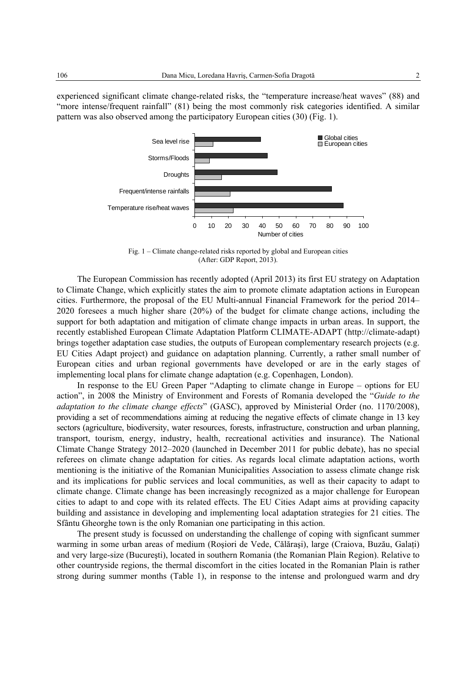experienced significant climate change-related risks, the "temperature increase/heat waves" (88) and "more intense/frequent rainfall" (81) being the most commonly risk categories identified. A similar pattern was also observed among the participatory European cities (30) (Fig. 1).



Fig. 1 – Climate change-related risks reported by global and European cities (After: GDP Report, 2013).

The European Commission has recently adopted (April 2013) its first EU strategy on Adaptation to Climate Change, which explicitly states the aim to promote climate adaptation actions in European cities. Furthermore, the proposal of the EU Multi-annual Financial Framework for the period 2014– 2020 foresees a much higher share (20%) of the budget for climate change actions, including the support for both adaptation and mitigation of climate change impacts in urban areas. In support, the recently established European Climate Adaptation Platform CLIMATE-ADAPT (http://climate-adapt) brings together adaptation case studies, the outputs of European complementary research projects (e.g. EU Cities Adapt project) and guidance on adaptation planning. Currently, a rather small number of European cities and urban regional governments have developed or are in the early stages of implementing local plans for climate change adaptation (e.g. Copenhagen, London).

In response to the EU Green Paper "Adapting to climate change in Europe – options for EU action", in 2008 the Ministry of Environment and Forests of Romania developed the "*Guide to the adaptation to the climate change effects*" (GASC), approved by Ministerial Order (no. 1170/2008), providing a set of recommendations aiming at reducing the negative effects of climate change in 13 key sectors (agriculture, biodiversity, water resources, forests, infrastructure, construction and urban planning, transport, tourism, energy, industry, health, recreational activities and insurance). The National Climate Change Strategy 2012–2020 (launched in December 2011 for public debate), has no special referees on climate change adaptation for cities. As regards local climate adaptation actions, worth mentioning is the initiative of the Romanian Municipalities Association to assess climate change risk and its implications for public services and local communities, as well as their capacity to adapt to climate change. Climate change has been increasingly recognized as a major challenge for European cities to adapt to and cope with its related effects. The EU Cities Adapt aims at providing capacity building and assistance in developing and implementing local adaptation strategies for 21 cities. The Sfântu Gheorghe town is the only Romanian one participating in this action.

The present study is focussed on understanding the challenge of coping with signficant summer warming in some urban areas of medium (Roşiori de Vede, Călăraşi), large (Craiova, Buzău, Galaţi) and very large-size (Bucureşti), located in southern Romania (the Romanian Plain Region). Relative to other countryside regions, the thermal discomfort in the cities located in the Romanian Plain is rather strong during summer months (Table 1), in response to the intense and prolongued warm and dry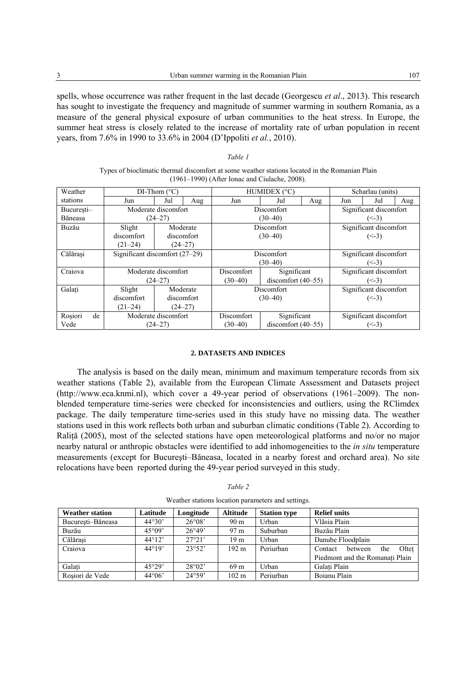spells, whose occurrence was rather frequent in the last decade (Georgescu *et al*., 2013). This research has sought to investigate the frequency and magnitude of summer warming in southern Romania, as a measure of the general physical exposure of urban communities to the heat stress. In Europe, the summer heat stress is closely related to the increase of mortality rate of urban population in recent years, from 7.6% in 1990 to 33.6% in 2004 (D'Ippoliti *et al.*, 2010).

*Table 1* 

| Types of bioclimatic thermal discomfort at some weather stations located in the Romanian Plain |                                |                          |             |             |                      |                        |                        |     |     |  |  |  |  |
|------------------------------------------------------------------------------------------------|--------------------------------|--------------------------|-------------|-------------|----------------------|------------------------|------------------------|-----|-----|--|--|--|--|
| $(1961-1990)$ (After Ionac and Ciulache, 2008).                                                |                                |                          |             |             |                      |                        |                        |     |     |  |  |  |  |
| Weather                                                                                        |                                | $DI$ -Thom $(^{\circ}C)$ |             |             | HUMIDEX (°C)         | Scharlau (units)       |                        |     |     |  |  |  |  |
| stations                                                                                       | Jun                            | Jul                      | Aug         | Jun         | Jul                  | Aug                    | Jun                    | Jul | Aug |  |  |  |  |
| Bucuresti-                                                                                     |                                | Moderate discomfort      |             |             | Discomfort           | Significant discomfort |                        |     |     |  |  |  |  |
| Băneasa                                                                                        |                                | $(24 - 27)$              |             |             | $(30 - 40)$          | $(\le -3)$             |                        |     |     |  |  |  |  |
| Buzău                                                                                          | Slight                         |                          | Moderate    |             | Discomfort           |                        | Significant discomfort |     |     |  |  |  |  |
|                                                                                                | discomfort                     |                          | discomfort  |             | $(30-40)$            | $(< -3)$               |                        |     |     |  |  |  |  |
|                                                                                                | $(21 - 24)$                    |                          | $(24 - 27)$ |             |                      |                        |                        |     |     |  |  |  |  |
| Călărași                                                                                       | Significant discomfort (27-29) |                          |             |             | Discomfort           | Significant discomfort |                        |     |     |  |  |  |  |
|                                                                                                |                                |                          |             |             | $(30 - 40)$          |                        | $(< -3)$               |     |     |  |  |  |  |
| Craiova                                                                                        |                                | Moderate discomfort      |             | Discomfort  | Significant          |                        | Significant discomfort |     |     |  |  |  |  |
|                                                                                                |                                | $(24 - 27)$              |             | $(30 - 40)$ | discomfort $(40-55)$ |                        | $(\le -3)$             |     |     |  |  |  |  |
| Galati                                                                                         | Slight                         |                          | Moderate    |             | Discomfort           | Significant discomfort |                        |     |     |  |  |  |  |
|                                                                                                | discomfort                     |                          | discomfort  |             | $(30-40)$            | $(< -3)$               |                        |     |     |  |  |  |  |
|                                                                                                | $(21-24)$                      |                          | $(24 - 27)$ |             |                      |                        |                        |     |     |  |  |  |  |
| Roșiori<br>de                                                                                  |                                | Moderate discomfort      |             | Discomfort  | Significant          |                        | Significant discomfort |     |     |  |  |  |  |
| Vede                                                                                           |                                | $(24 - 27)$              |             | $(30-40)$   | discomfort $(40-55)$ |                        | $(\le -3)$             |     |     |  |  |  |  |

#### **2. DATASETS AND INDICES**

The analysis is based on the daily mean, minimum and maximum temperature records from six weather stations (Table 2), available from the European Climate Assessment and Datasets project (http://www.eca.knmi.nl), which cover a 49-year period of observations (1961–2009). The nonblended temperature time-series were checked for inconsistencies and outliers, using the RClimdex package. The daily temperature time-series used in this study have no missing data. The weather stations used in this work reflects both urban and suburban climatic conditions (Table 2). According to Raliţă (2005), most of the selected stations have open meteorological platforms and no/or no major nearby natural or anthropic obstacles were identified to add inhomogeneities to the *in situ* temperature measurements (except for Bucureşti–Băneasa, located in a nearby forest and orchard area). No site relocations have been reported during the 49-year period surveyed in this study.

| <b>Weather station</b> | Longitude       | <b>Altitude</b> | <b>Station type</b> | <b>Relief units</b> |                                    |  |  |  |  |
|------------------------|-----------------|-----------------|---------------------|---------------------|------------------------------------|--|--|--|--|
| Bucuresti-Băneasa      | $44^{\circ}30'$ | $26^{\circ}08'$ | 90 <sub>m</sub>     | Urban               | Vlăsia Plain                       |  |  |  |  |
| Buzău                  | $26^{\circ}49'$ | 97 m            | Suburban            | Buzău Plain         |                                    |  |  |  |  |
| Călărasi               | $44^{\circ}12'$ | 27°21'          | 19 <sub>m</sub>     | Urban               | Danube Floodplain                  |  |  |  |  |
| Craiova                | $44^{\circ}19'$ | 23°52'          | 192 <sub>m</sub>    | Periurban           | Oltet<br>the<br>between<br>Contact |  |  |  |  |
|                        |                 |                 |                     |                     | Piedmont and the Romanati Plain    |  |  |  |  |
| Galati                 | 45°29'          | $28^{\circ}02'$ | 69 <sub>m</sub>     | Urban               | Galati Plain                       |  |  |  |  |
| Roșiori de Vede        | $44^{\circ}06'$ | 24°59'          | $102 \text{ m}$     | Periurban           | Boianu Plain                       |  |  |  |  |

Weather stations location parameters and settings.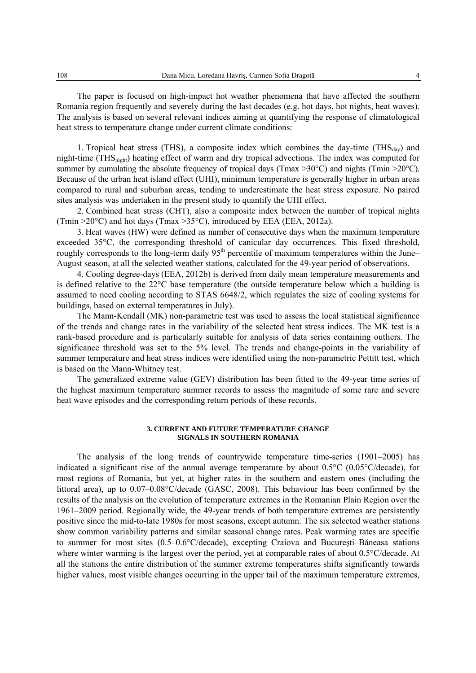The paper is focused on high-impact hot weather phenomena that have affected the southern Romania region frequently and severely during the last decades (e.g. hot days, hot nights, heat waves). The analysis is based on several relevant indices aiming at quantifying the response of climatological heat stress to temperature change under current climate conditions:

1. Tropical heat stress (THS), a composite index which combines the day-time (THS $_{day}$ ) and night-time (THSnight) heating effect of warm and dry tropical advections. The index was computed for summer by cumulating the absolute frequency of tropical days (Tmax >30°C) and nights (Tmin >20°C). Because of the urban heat island effect (UHI), minimum temperature is generally higher in urban areas compared to rural and suburban areas, tending to underestimate the heat stress exposure. No paired sites analysis was undertaken in the present study to quantify the UHI effect.

2. Combined heat stress (CHT), also a composite index between the number of tropical nights (Tmin  $>20^{\circ}$ C) and hot days (Tmax  $>35^{\circ}$ C), introduced by EEA (EEA, 2012a).

3. Heat waves (HW) were defined as number of consecutive days when the maximum temperature exceeded 35°C, the corresponding threshold of canicular day occurrences. This fixed threshold, roughly corresponds to the long-term daily 95<sup>th</sup> percentile of maximum temperatures within the June– August season, at all the selected weather stations, calculated for the 49-year period of observations.

4. Cooling degree-days (EEA, 2012b) is derived from daily mean temperature measurements and is defined relative to the 22°C base temperature (the outside temperature below which a building is assumed to need cooling according to STAS 6648/2, which regulates the size of cooling systems for buildings, based on external temperatures in July).

The Mann-Kendall (MK) non-parametric test was used to assess the local statistical significance of the trends and change rates in the variability of the selected heat stress indices. The MK test is a rank-based procedure and is particularly suitable for analysis of data series containing outliers. The significance threshold was set to the 5% level. The trends and change-points in the variability of summer temperature and heat stress indices were identified using the non-parametric Pettitt test, which is based on the Mann-Whitney test.

The generalized extreme value (GEV) distribution has been fitted to the 49-year time series of the highest maximum temperature summer records to assess the magnitude of some rare and severe heat wave episodes and the corresponding return periods of these records.

#### **3. CURRENT AND FUTURE TEMPERATURE CHANGE SIGNALS IN SOUTHERN ROMANIA**

The analysis of the long trends of countrywide temperature time-series (1901–2005) has indicated a significant rise of the annual average temperature by about 0.5°C (0.05°C/decade), for most regions of Romania, but yet, at higher rates in the southern and eastern ones (including the littoral area), up to 0.07–0.08°C/decade (GASC, 2008). This behaviour has been confirmed by the results of the analysis on the evolution of temperature extremes in the Romanian Plain Region over the 1961–2009 period. Regionally wide, the 49-year trends of both temperature extremes are persistently positive since the mid-to-late 1980s for most seasons, except autumn. The six selected weather stations show common variability patterns and similar seasonal change rates. Peak warming rates are specific to summer for most sites (0.5–0.6°C/decade), excepting Craiova and Bucureşti–Băneasa stations where winter warming is the largest over the period, yet at comparable rates of about 0.5°C/decade. At all the stations the entire distribution of the summer extreme temperatures shifts significantly towards higher values, most visible changes occurring in the upper tail of the maximum temperature extremes,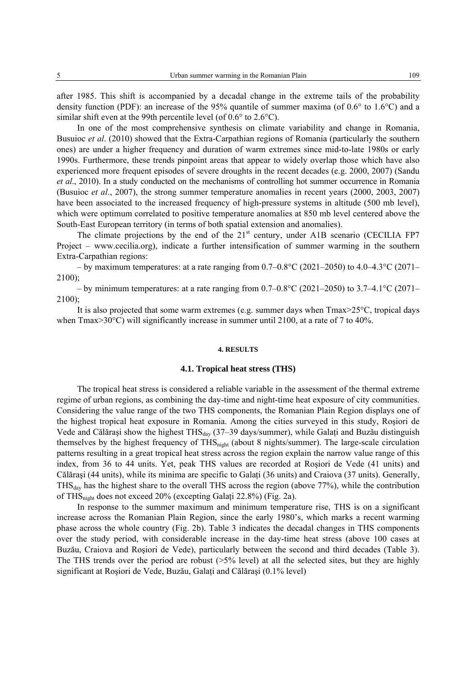after 1985. This shift is accompanied by a decadal change in the extreme tails of the probability density function (PDF): an increase of the 95% quantile of summer maxima (of 0.6° to 1.6°C) and a similar shift even at the 99th percentile level (of 0.6° to 2.6°C).

In one of the most comprehensive synthesis on climate variability and change in Romania, Busuioc *et al*. (2010) showed that the Extra-Carpathian regions of Romania (particularly the southern ones) are under a higher frequency and duration of warm extremes since mid-to-late 1980s or early 1990s. Furthermore, these trends pinpoint areas that appear to widely overlap those which have also experienced more frequent episodes of severe droughts in the recent decades (e.g. 2000, 2007) (Sandu *et al*., 2010). In a study conducted on the mechanisms of controlling hot summer occurrence in Romania (Busuioc *et al*., 2007), the strong summer temperature anomalies in recent years (2000, 2003, 2007) have been associated to the increased frequency of high-pressure systems in altitude (500 mb level), which were optimum correlated to positive temperature anomalies at 850 mb level centered above the South-East European territory (in terms of both spatial extension and anomalies).

The climate projections by the end of the  $21<sup>st</sup>$  century, under A1B scenario (CECILIA FP7 Project – www.cecilia.org), indicate a further intensification of summer warming in the southern Extra-Carpathian regions:

– by maximum temperatures: at a rate ranging from  $0.7{\text{-}}0.8^{\circ}C$  (2021–2050) to  $4.0{\text{-}}4.3^{\circ}C$  (2071– 2100);

– by minimum temperatures: at a rate ranging from  $0.7-0.8$ °C (2021–2050) to  $3.7-4.1$ °C (2071– 2100);

It is also projected that some warm extremes (e.g. summer days when Tmax>25°C, tropical days when  $\text{Tr}\left(\frac{300}{20}\right)$  will significantly increase in summer until 2100, at a rate of 7 to 40%.

#### **4. RESULTS**

# **4.1. Tropical heat stress (THS)**

The tropical heat stress is considered a reliable variable in the assessment of the thermal extreme regime of urban regions, as combining the day-time and night-time heat exposure of city communities. Considering the value range of the two THS components, the Romanian Plain Region displays one of the highest tropical heat exposure in Romania. Among the cities surveyed in this study, Roşiori de Vede and Călărași show the highest THS<sub>dav</sub> (37–39 days/summer), while Galați and Buzău distinguish themselves by the highest frequency of THS<sub>night</sub> (about 8 nights/summer). The large-scale circulation patterns resulting in a great tropical heat stress across the region explain the narrow value range of this index, from 36 to 44 units. Yet, peak THS values are recorded at Roşiori de Vede (41 units) and Călăraşi (44 units), while its minima are specific to Galaţi (36 units) and Craiova (37 units). Generally,  $THS<sub>day</sub>$  has the highest share to the overall THS across the region (above 77%), while the contribution of THSnight does not exceed 20% (excepting Galaţi 22.8%) (Fig. 2a).

In response to the summer maximum and minimum temperature rise, THS is on a significant increase across the Romanian Plain Region, since the early 1980's, which marks a recent warming phase across the whole country (Fig. 2b). Table 3 indicates the decadal changes in THS components over the study period, with considerable increase in the day-time heat stress (above 100 cases at Buzău, Craiova and Roşiori de Vede), particularly between the second and third decades (Table 3). The THS trends over the period are robust  $(>=5\%$  level) at all the selected sites, but they are highly significant at Roșiori de Vede, Buzău, Galați and Călărași (0.1% level)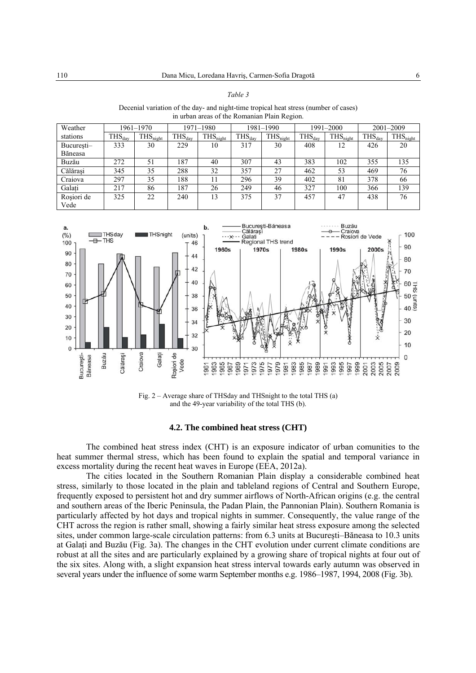| Decenial variation of the day- and night-time tropical heat stress (number of cases)<br>in urban areas of the Romanian Plain Region. |                    |                      |                                            |           |                    |                      |             |                      |                    |                      |  |  |
|--------------------------------------------------------------------------------------------------------------------------------------|--------------------|----------------------|--------------------------------------------|-----------|--------------------|----------------------|-------------|----------------------|--------------------|----------------------|--|--|
| Weather                                                                                                                              |                    | $1961 - 1970$        |                                            | 1971–1980 |                    | 1981–1990            |             | 1991-2000            | $2001 - 2009$      |                      |  |  |
| stations                                                                                                                             | $HSS_{\text{dav}}$ | THS <sub>night</sub> | THS <sub>night</sub><br>$THS_{\text{dav}}$ |           | $THS_{\text{dav}}$ | THS <sub>night</sub> | $THS_{day}$ | THS <sub>night</sub> | $THS_{\text{dav}}$ | THS <sub>night</sub> |  |  |
| Bucuresti-                                                                                                                           | 333                | 30                   | 229<br>10                                  |           | 30<br>317          |                      | 408<br>12   |                      | 426                | 20                   |  |  |
| Băneasa                                                                                                                              |                    |                      |                                            |           |                    |                      |             |                      |                    |                      |  |  |

Buzău 272 51 187 40 307 43 383 102 355 135 Călărași | 345 | 35 | 288 | 32 | 357 | 27 | 462 | 53 | 469 | 76 Craiova | 297 | 35 | 188 | 11 | 296 | 39 | 402 | 81 | 378 | 66 Galați | 217 | 86 | 187 | 26 | 249 | 46 | 327 | 100 | 366 | 139

325 | 22 | 240 | 13 | 375 | 37 | 457 | 47 | 438 | 76

*Table 3* 

| a.<br>(%)<br>100 | THSday<br>$\rightarrow$ THS   |          | <b>THSnight</b> |                    | (units)<br>46 | b.        |           | $\cdots$ X $\cdots$ Galati | București-Băneasa<br>Călărași<br>Regional THS trend |        |         |              |            |           | Buzău<br>Craiova | Rosiori de Vede |              |              | 100                                           |
|------------------|-------------------------------|----------|-----------------|--------------------|---------------|-----------|-----------|----------------------------|-----------------------------------------------------|--------|---------|--------------|------------|-----------|------------------|-----------------|--------------|--------------|-----------------------------------------------|
| 90               |                               |          |                 |                    |               |           | 1960s     |                            |                                                     | 1970s  |         | <b>1980s</b> |            | 1990s     |                  |                 | 2000s        |              | 90                                            |
|                  |                               |          |                 |                    | 44            |           |           |                            |                                                     |        |         |              |            |           |                  |                 |              |              | 80                                            |
| 80<br>70         |                               |          |                 |                    | 42            |           |           |                            |                                                     |        |         |              |            |           |                  |                 |              |              | 70                                            |
| 60               |                               |          |                 |                    | 40            |           |           |                            |                                                     |        |         |              |            |           |                  |                 |              |              | 도 09<br>조                                     |
| 50               |                               |          |                 |                    | 38            |           |           |                            |                                                     |        |         |              |            |           |                  |                 |              |              | $\frac{50}{\underline{5}}\times\frac{1}{100}$ |
| 40               |                               |          |                 |                    | 36            |           |           |                            |                                                     |        |         |              |            |           |                  |                 |              |              |                                               |
| 30               |                               |          |                 |                    | 34            |           |           |                            |                                                     |        |         |              |            |           |                  |                 |              |              | 30                                            |
| 20<br>10         |                               |          |                 |                    | 32            |           |           |                            |                                                     |        |         |              |            | ଚ୍<br>≫   |                  |                 |              |              | 20                                            |
| $\mathbf{0}$     |                               |          |                 |                    | 30            |           |           |                            |                                                     |        |         | ž            |            |           |                  |                 |              |              | 10                                            |
|                  |                               |          | Galați          |                    |               |           |           |                            |                                                     |        |         |              |            |           |                  |                 |              |              | 0                                             |
|                  | Buzău<br>București<br>Băneasa | Călărași | Craiova         | Roșiori de<br>Vede |               | 963<br>96 | 965<br>96 | တ<br>96                    | თ                                                   | ග<br>თ | 98<br>ග | 985<br>98    | 989<br>987 | 993<br>99 | 997<br>99        | တ<br>199<br>200 | 2005<br>2003 | 2007<br>2009 |                                               |

Fig. 2 – Average share of THSday and THSnight to the total THS (a) and the 49-year variability of the total THS (b).

### **4.2. The combined heat stress (CHT)**

The combined heat stress index (CHT) is an exposure indicator of urban comunities to the heat summer thermal stress, which has been found to explain the spatial and temporal variance in excess mortality during the recent heat waves in Europe (EEA, 2012a).

The cities located in the Southern Romanian Plain display a considerable combined heat stress, similarly to those located in the plain and tableland regions of Central and Southern Europe, frequently exposed to persistent hot and dry summer airflows of North-African origins (e.g. the central and southern areas of the Iberic Peninsula, the Padan Plain, the Pannonian Plain). Southern Romania is particularly affected by hot days and tropical nights in summer. Consequently, the value range of the CHT across the region is rather small, showing a fairly similar heat stress exposure among the selected sites, under common large-scale circulation patterns: from 6.3 units at Bucureşti–Băneasa to 10.3 units at Galaţi and Buzău (Fig. 3a). The changes in the CHT evolution under current climate conditions are robust at all the sites and are particularly explained by a growing share of tropical nights at four out of the six sites. Along with, a slight expansion heat stress interval towards early autumn was observed in several years under the influence of some warm September months e.g. 1986–1987, 1994, 2008 (Fig. 3b).

Roşiori de Vede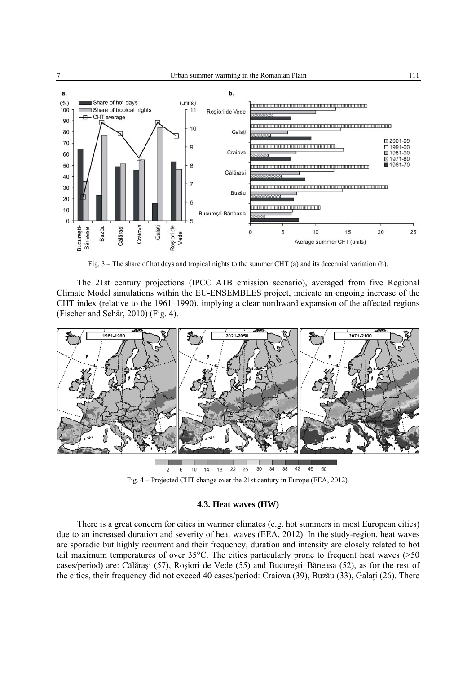

Fig. 3 – The share of hot days and tropical nights to the summer CHT (a) and its decennial variation (b).

The 21st century projections (IPCC A1B emission scenario), averaged from five Regional Climate Model simulations within the EU-ENSEMBLES project, indicate an ongoing increase of the CHT index (relative to the 1961–1990), implying a clear northward expansion of the affected regions (Fischer and Schär, 2010) (Fig. 4).



Fig. 4 – Projected CHT change over the 21st century in Europe (EEA, 2012).

# **4.3. Heat waves (HW)**

There is a great concern for cities in warmer climates (e.g. hot summers in most European cities) due to an increased duration and severity of heat waves (EEA, 2012). In the study-region, heat waves are sporadic but highly recurrent and their frequency, duration and intensity are closely related to hot tail maximum temperatures of over 35°C. The cities particularly prone to frequent heat waves (>50 cases/period) are: Călăraşi (57), Roşiori de Vede (55) and Bucureşti–Băneasa (52), as for the rest of the cities, their frequency did not exceed 40 cases/period: Craiova (39), Buzău (33), Galati (26). There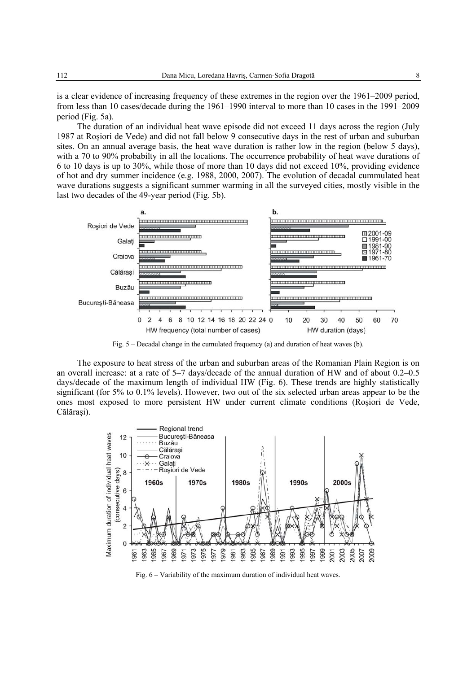is a clear evidence of increasing frequency of these extremes in the region over the 1961–2009 period, from less than 10 cases/decade during the 1961–1990 interval to more than 10 cases in the 1991–2009 period (Fig. 5a).

The duration of an individual heat wave episode did not exceed 11 days across the region (July 1987 at Roşiori de Vede) and did not fall below 9 consecutive days in the rest of urban and suburban sites. On an annual average basis, the heat wave duration is rather low in the region (below 5 days), with a 70 to 90% probabilty in all the locations. The occurrence probability of heat wave durations of 6 to 10 days is up to 30%, while those of more than 10 days did not exceed 10%, providing evidence of hot and dry summer incidence (e.g. 1988, 2000, 2007). The evolution of decadal cummulated heat wave durations suggests a significant summer warming in all the surveyed cities, mostly visible in the last two decades of the 49-year period (Fig. 5b).



Fig. 5 – Decadal change in the cumulated frequency (a) and duration of heat waves (b).

The exposure to heat stress of the urban and suburban areas of the Romanian Plain Region is on an overall increase: at a rate of 5–7 days/decade of the annual duration of HW and of about 0.2–0.5 days/decade of the maximum length of individual HW (Fig. 6). These trends are highly statistically significant (for 5% to 0.1% levels). However, two out of the six selected urban areas appear to be the ones most exposed to more persistent HW under current climate conditions (Roşiori de Vede, Călărași).



Fig. 6 – Variability of the maximum duration of individual heat waves.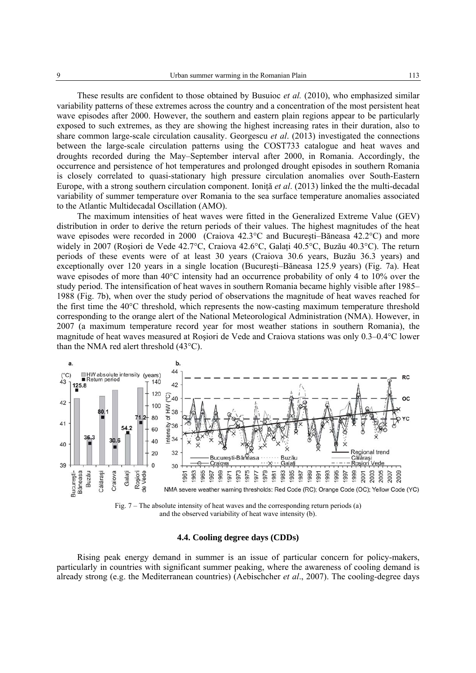These results are confident to those obtained by Busuioc *et al.* (2010), who emphasized similar variability patterns of these extremes across the country and a concentration of the most persistent heat wave episodes after 2000. However, the southern and eastern plain regions appear to be particularly exposed to such extremes, as they are showing the highest increasing rates in their duration, also to share common large-scale circulation causality. Georgescu *et al*. (2013) investigated the connections between the large-scale circulation patterns using the COST733 catalogue and heat waves and droughts recorded during the May–September interval after 2000, in Romania. Accordingly, the occurrence and persistence of hot temperatures and prolonged drought episodes in southern Romania is closely correlated to quasi-stationary high pressure circulation anomalies over South-Eastern Europe, with a strong southern circulation component. Ionită *et al.* (2013) linked the the multi-decadal variability of summer temperature over Romania to the sea surface temperature anomalies associated to the Atlantic Multidecadal Oscillation (AMO).

The maximum intensities of heat waves were fitted in the Generalized Extreme Value (GEV) distribution in order to derive the return periods of their values. The highest magnitudes of the heat wave episodes were recorded in 2000 (Craiova 42.3°C and Bucureşti–Băneasa 42.2°C) and more widely in 2007 (Roşiori de Vede 42.7°C, Craiova 42.6°C, Galaţi 40.5°C, Buzău 40.3°C). The return periods of these events were of at least 30 years (Craiova 30.6 years, Buzău 36.3 years) and exceptionally over 120 years in a single location (Bucureşti–Băneasa 125.9 years) (Fig. 7a). Heat wave episodes of more than  $40^{\circ}$ C intensity had an occurrence probability of only 4 to 10% over the study period. The intensification of heat waves in southern Romania became highly visible after 1985– 1988 (Fig. 7b), when over the study period of observations the magnitude of heat waves reached for the first time the 40°C threshold, which represents the now-casting maximum temperature threshold corresponding to the orange alert of the National Meteorological Administration (NMA). However, in 2007 (a maximum temperature record year for most weather stations in southern Romania), the magnitude of heat waves measured at Roşiori de Vede and Craiova stations was only 0.3–0.4°C lower than the NMA red alert threshold (43°C).



Fig. 7 – The absolute intensity of heat waves and the corresponding return periods (a) and the observed variability of heat wave intensity (b).

## **4.4. Cooling degree days (CDDs)**

Rising peak energy demand in summer is an issue of particular concern for policy-makers, particularly in countries with significant summer peaking, where the awareness of cooling demand is already strong (e.g. the Mediterranean countries) (Aebischcher *et al*., 2007). The cooling-degree days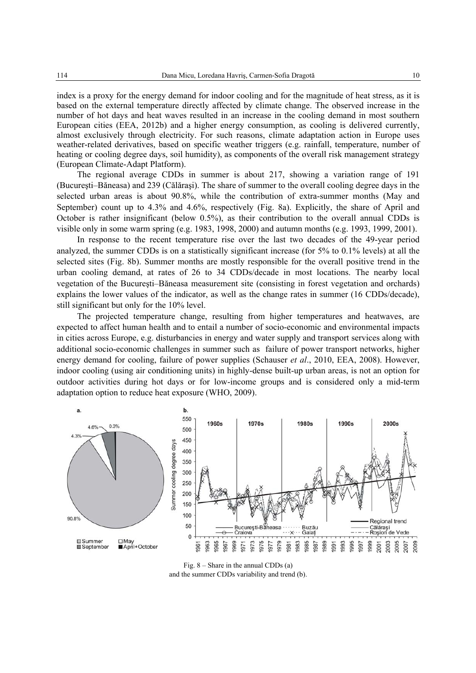index is a proxy for the energy demand for indoor cooling and for the magnitude of heat stress, as it is based on the external temperature directly affected by climate change. The observed increase in the number of hot days and heat waves resulted in an increase in the cooling demand in most southern European cities (EEA, 2012b) and a higher energy consumption, as cooling is delivered currently, almost exclusively through electricity. For such reasons, climate adaptation action in Europe uses weather-related derivatives, based on specific weather triggers (e.g. rainfall, temperature, number of heating or cooling degree days, soil humidity), as components of the overall risk management strategy (European Climate-Adapt Platform).

The regional average CDDs in summer is about 217, showing a variation range of 191 (Bucureşti–Băneasa) and 239 (Călăraşi). The share of summer to the overall cooling degree days in the selected urban areas is about 90.8%, while the contribution of extra-summer months (May and September) count up to 4.3% and 4.6%, respectively (Fig. 8a). Explicitly, the share of April and October is rather insignificant (below 0.5%), as their contribution to the overall annual CDDs is visible only in some warm spring (e.g. 1983, 1998, 2000) and autumn months (e.g. 1993, 1999, 2001).

In response to the recent temperature rise over the last two decades of the 49-year period analyzed, the summer CDDs is on a statistically significant increase (for 5% to 0.1% levels) at all the selected sites (Fig. 8b). Summer months are mostly responsible for the overall positive trend in the urban cooling demand, at rates of 26 to 34 CDDs/decade in most locations. The nearby local vegetation of the Bucureşti–Băneasa measurement site (consisting in forest vegetation and orchards) explains the lower values of the indicator, as well as the change rates in summer (16 CDDs/decade), still significant but only for the 10% level.

The projected temperature change, resulting from higher temperatures and heatwaves, are expected to affect human health and to entail a number of socio-economic and environmental impacts in cities across Europe, e.g. disturbancies in energy and water supply and transport services along with additional socio-economic challenges in summer such as failure of power transport networks, higher energy demand for cooling, failure of power supplies (Schauser *et al*., 2010, EEA, 2008). However, indoor cooling (using air conditioning units) in highly-dense built-up urban areas, is not an option for outdoor activities during hot days or for low-income groups and is considered only a mid-term adaptation option to reduce heat exposure (WHO, 2009).



Fig. 8 – Share in the annual CDDs (a) and the summer CDDs variability and trend (b).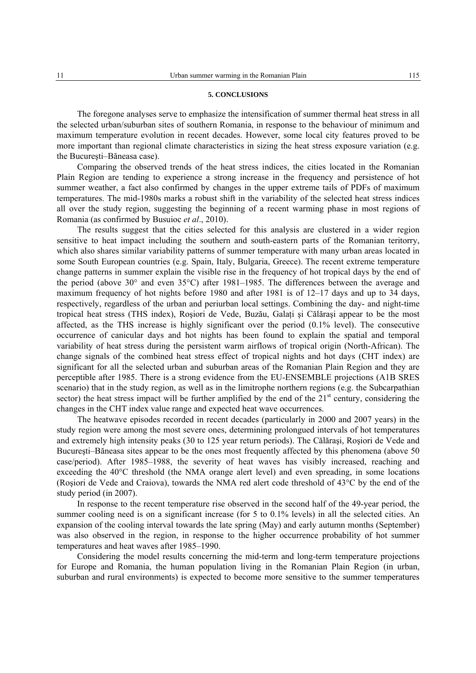#### **5. CONCLUSIONS**

The foregone analyses serve to emphasize the intensification of summer thermal heat stress in all the selected urban/suburban sites of southern Romania, in response to the behaviour of minimum and maximum temperature evolution in recent decades. However, some local city features proved to be more important than regional climate characteristics in sizing the heat stress exposure variation (e.g. the Bucureşti–Băneasa case).

Comparing the observed trends of the heat stress indices, the cities located in the Romanian Plain Region are tending to experience a strong increase in the frequency and persistence of hot summer weather, a fact also confirmed by changes in the upper extreme tails of PDFs of maximum temperatures. The mid-1980s marks a robust shift in the variability of the selected heat stress indices all over the study region, suggesting the beginning of a recent warming phase in most regions of Romania (as confirmed by Busuioc *et al*., 2010).

The results suggest that the cities selected for this analysis are clustered in a wider region sensitive to heat impact including the southern and south-eastern parts of the Romanian teritorry, which also shares similar variability patterns of summer temperature with many urban areas located in some South European countries (e.g. Spain, Italy, Bulgaria, Greece). The recent extreme temperature change patterns in summer explain the visible rise in the frequency of hot tropical days by the end of the period (above 30° and even 35°C) after 1981–1985. The differences between the average and maximum frequency of hot nights before 1980 and after 1981 is of 12–17 days and up to 34 days, respectively, regardless of the urban and periurban local settings. Combining the day- and night-time tropical heat stress (THS index), Roșiori de Vede, Buzău, Galați și Călărași appear to be the most affected, as the THS increase is highly significant over the period (0.1% level). The consecutive occurrence of canicular days and hot nights has been found to explain the spatial and temporal variability of heat stress during the persistent warm airflows of tropical origin (North-African). The change signals of the combined heat stress effect of tropical nights and hot days (CHT index) are significant for all the selected urban and suburban areas of the Romanian Plain Region and they are perceptible after 1985. There is a strong evidence from the EU-ENSEMBLE projections (A1B SRES scenario) that in the study region, as well as in the limitrophe northern regions (e.g. the Subcarpathian sector) the heat stress impact will be further amplified by the end of the  $21<sup>st</sup>$  century, considering the changes in the CHT index value range and expected heat wave occurrences.

The heatwave episodes recorded in recent decades (particularly in 2000 and 2007 years) in the study region were among the most severe ones, determining prolongued intervals of hot temperatures and extremely high intensity peaks (30 to 125 year return periods). The Călăraşi, Roşiori de Vede and Bucureşti–Băneasa sites appear to be the ones most frequently affected by this phenomena (above 50 case/period). After 1985–1988, the severity of heat waves has visibly increased, reaching and exceeding the 40°C threshold (the NMA orange alert level) and even spreading, in some locations (Roşiori de Vede and Craiova), towards the NMA red alert code threshold of 43°C by the end of the study period (in 2007).

In response to the recent temperature rise observed in the second half of the 49-year period, the summer cooling need is on a significant increase (for 5 to 0.1% levels) in all the selected cities. An expansion of the cooling interval towards the late spring (May) and early autumn months (September) was also observed in the region, in response to the higher occurrence probability of hot summer temperatures and heat waves after 1985–1990.

Considering the model results concerning the mid-term and long-term temperature projections for Europe and Romania, the human population living in the Romanian Plain Region (in urban, suburban and rural environments) is expected to become more sensitive to the summer temperatures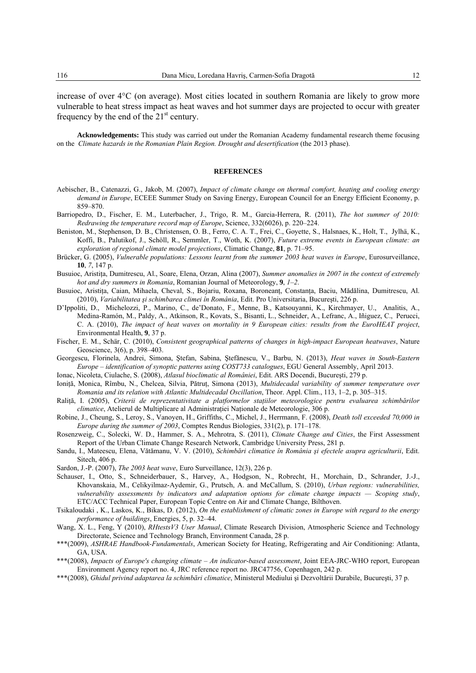increase of over 4°C (on average). Most cities located in southern Romania are likely to grow more vulnerable to heat stress impact as heat waves and hot summer days are projected to occur with greater frequency by the end of the  $21<sup>st</sup>$  century.

**Acknowledgements:** This study was carried out under the Romanian Academy fundamental research theme focusing on the *Climate hazards in the Romanian Plain Region. Drought and desertification* (the 2013 phase).

### **REFERENCES**

- Aebischer, B., Catenazzi, G., Jakob, M. (2007), *Impact of climate change on thermal comfort, heating and cooling energy demand in Europe*, ECEEE Summer Study on Saving Energy, European Council for an Energy Efficient Economy, p. 859–870.
- Barriopedro, D., Fischer, E. M., Luterbacher, J., Trigo, R. M., Garcia-Herrera, R. (2011), *The hot summer of 2010: Redrawing the temperature record map of Europe*, Science, 332(6026), p. 220–224.
- Beniston, M., Stephenson, D. B., Christensen, O. B., Ferro, C. A. T., Frei, C., Goyette, S., Halsnaes, K., Holt, T., Jylhä, K., Koffi, B., Palutikof, J., Schöll, R., Semmler, T., Woth, K. (2007), *Future extreme events in European climate: an exploration of regional climate model projections*, Climatic Change, **81**, p. 71–95.
- Brücker, G. (2005), *Vulnerable populations: Lessons learnt from the summer 2003 heat waves in Europe*, Eurosurveillance, **10**, *7*, 147 p.
- Busuioc, Aristiţa, Dumitrescu, Al., Soare, Elena, Orzan, Alina (2007), *Summer anomalies in 2007 in the context of extremely hot and dry summers in Romania*, Romanian Journal of Meteorology, **9**, *1–2*.
- Busuioc, Aristiţa, Caian, Mihaela, Cheval, S., Bojariu, Roxana, Boroneanţ, Constanţa, Baciu, Mădălina, Dumitrescu, Al. (2010), *Variabilitatea şi schimbarea climei în România*, Edit. Pro Universitaria, Bucureşti, 226 p.
- D'Ippoliti, D.,Michelozzi, P., Marino, C., de'Donato, F., Menne, B., Katsouyanni, K., Kirchmayer, U.,Analitis, A., Medina-Ramón, M., Paldy, A., Atkinson, R., Kovats, S., Bisanti, L., Schneider, A., Lefranc, A., Iñiguez, C., Perucci, C. A. (2010), *The impact of heat waves on mortality in 9 European cities: results from the EuroHEAT project*, Environmental Health, **9**, 37 p.
- Fischer, E. M., Schär, C. (2010), *Consistent geographical patterns of changes in high-impact European heatwaves*, Nature Geoscience, 3(6), p. 398–403.
- Georgescu, Florinela, Andrei, Simona, Ştefan, Sabina, Ştefănescu, V., Barbu, N. (2013), *Heat waves in South-Eastern Europe – identification of synoptic patterns using COST733 catalogues*, EGU General Assembly, April 2013.
- Ionac, Nicoleta, Ciulache, S. (2008), *Atlasul bioclimatic al României*, Edit. ARS Docendi, Bucureşti, 279 p.
- Ioniţă, Monica, Rîmbu, N., Chelcea, Silvia, Pătruţ, Simona (2013), *Multidecadal variability of summer temperature over Romania and its relation with Atlantic Multidecadal Oscillation*, Theor. Appl. Clim., 113, 1–2, p. 305–315.
- Raliţă, I. (2005), *Criterii de reprezentativitate a platformelor staţiilor meteorologice pentru evaluarea schimbărilor climatice*, Atelierul de Multiplicare al Administratiei Nationale de Meteorologie, 306 p.
- Robine, J., Cheung, S., Leroy, S., Vanoyen, H., Griffiths, C., Michel, J., Herrmann, F. (2008), *Death toll exceeded 70,000 in Europe during the summer of 2003*, Comptes Rendus Biologies, 331(2), p. 171–178.
- Rosenzweig, C., Solecki, W. D., Hammer, S. A., Mehrotra, S. (2011), *Climate Change and Cities*, the First Assessment Report of the Urban Climate Change Research Network, Cambridge University Press, 281 p.
- Sandu, I., Mateescu, Elena, Vătămanu, V. V. (2010), *Schimbări climatice în România şi efectele asupra agriculturii*, Edit. Sitech, 406 p.
- Sardon, J.-P. (2007), *The 2003 heat wave*, Euro Surveillance, 12(3), 226 p.
- Schauser, I., Otto, S., Schneiderbauer, S., Harvey, A., Hodgson, N., Robrecht, H., Morchain, D., Schrander, J.-J., Khovanskaia, M., Celikyilmaz-Aydemir, G., Prutsch, A. and McCallum, S. (2010), *Urban regions: vulnerabilities, vulnerability assessments by indicators and adaptation options for climate change impacts — Scoping study*, ETC/ACC Technical Paper, European Topic Centre on Air and Climate Change, Bilthoven.
- Tsikaloudaki , K., Laskos, K., Bikas, D. (2012), *On the establishment of climatic zones in Europe with regard to the energy performance of buildings*, Energies, 5, p. 32–44.
- Wang, X. L., Feng, Y (2010), *RHtestsV3 User Manual*, Climate Research Division, Atmospheric Science and Technology Directorate, Science and Technology Branch, Environment Canada, 28 p.
- \*\*\*(2009), *ASHRAE Handbook-Fundamentals*, American Society for Heating, Refrigerating and Air Conditioning: Atlanta, GA, USA.
- \*\*\*(2008), *Impacts of Europe's changing climate An indicator-based assessment*, Joint EEA-JRC-WHO report, European Environment Agency report no. 4, JRC reference report no. JRC47756, Copenhagen, 242 p.
- \*\*\*(2008), *Ghidul privind adaptarea la schimbări climatice*, Ministerul Mediului şi Dezvoltării Durabile, Bucureşti, 37 p.